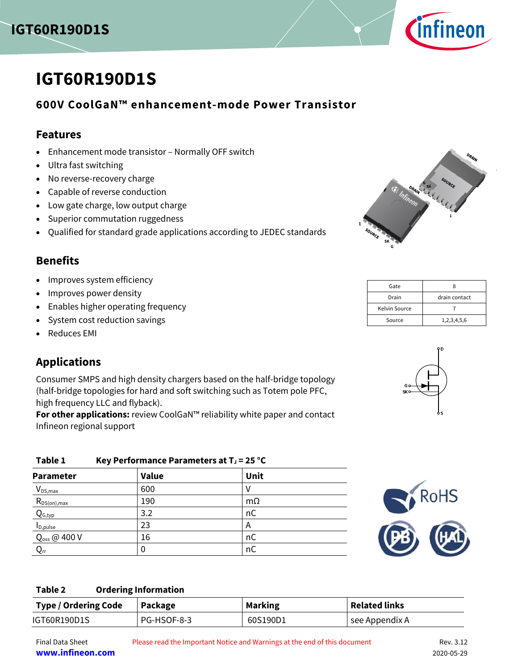



# **IGT60R190D1S**

### **600V CoolGaN™ enhancement-mode Power Transistor**

#### **Features**

- Enhancement mode transistor Normally OFF switch
- <span id="page-0-0"></span>Ultra fast switching
- No reverse-recovery charge
- <span id="page-0-1"></span>Capable of reverse conduction
- Low gate charge, low output charge
- Superior commutation ruggedness
- Qualified for standard grade applications according to JEDEC standards

### **Benefits**

- Improves system efficiency
- Improves power density
- Enables higher operating frequency
- System cost reduction savings
- Reduces EMI

### **Applications**

Consumer SMPS and high density chargers based on the half-bridge topology (half-bridge topologies for hard and soft switching such as Totem pole PFC, high frequency LLC and flyback).

**For other applications:** review CoolGaN™ reliability white paper and contact Infineon regional support

| Table 1                    | Key Performance Parameters at $T_J$ = 25 °C |           |  |  |  |  |  |  |  |
|----------------------------|---------------------------------------------|-----------|--|--|--|--|--|--|--|
| <b>Parameter</b>           | <b>Value</b>                                | Unit      |  |  |  |  |  |  |  |
| $V_{DS,max}$               | 600                                         |           |  |  |  |  |  |  |  |
| $R_{DS(on),max}$           | 190                                         | $m\Omega$ |  |  |  |  |  |  |  |
| $Q_{G,typ}$                | 3.2                                         | nC        |  |  |  |  |  |  |  |
| I <sub>D,pulse</sub>       | 23                                          | Α         |  |  |  |  |  |  |  |
| Q <sub>oss</sub> @ 400 V   | 16                                          | nC        |  |  |  |  |  |  |  |
| $\mathsf{Q}_{\mathsf{rr}}$ |                                             | пC        |  |  |  |  |  |  |  |



#### **Table 2 Ordering Information**

| <b>Type / Ordering Code</b> | Package     | <b>Marking</b> | <b>Related links</b> |
|-----------------------------|-------------|----------------|----------------------|
| IGT60R190D1S                | PG-HSOF-8-3 | 60S190D1       | see Appendix A       |



| Gate          |               |  |  |  |
|---------------|---------------|--|--|--|
| Drain         | drain contact |  |  |  |
| Kelvin Source |               |  |  |  |
| Source        | 1,2,3,4,5,6   |  |  |  |

<span id="page-0-2"></span>

**www.infineon.com** 2020-05-29

Final Data Sheet Please read the Important Notice and Warnings at the end of this document Rev. 3.12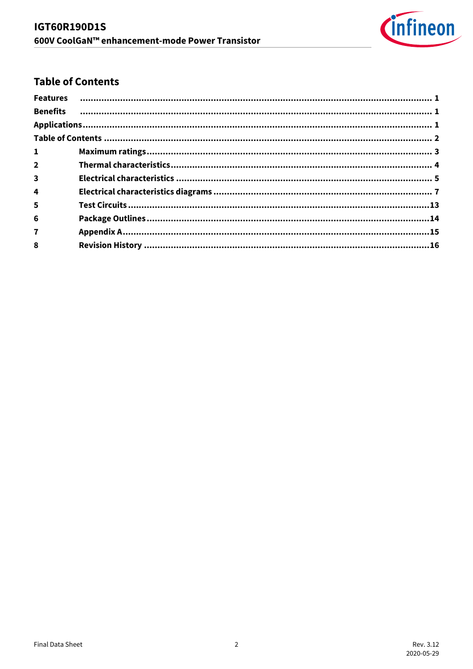

### <span id="page-1-0"></span>**Table of Contents**

| $\mathbf{1}$            |  |
|-------------------------|--|
| 2 <sup>1</sup>          |  |
| $\overline{\mathbf{3}}$ |  |
| 4                       |  |
| 5                       |  |
| $6\phantom{1}$          |  |
| $\overline{7}$          |  |
| 8                       |  |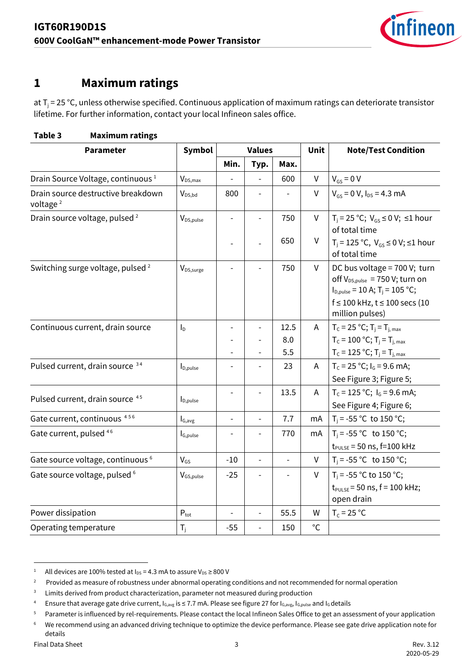

### <span id="page-2-0"></span>**1 Maximum ratings**

at T<sub>j</sub> = 25 °C, unless otherwise specified. Continuous application of maximum ratings can deteriorate transistor lifetime. For further information, contact your local Infineon sales office.

| <b>Parameter</b>                                           | Symbol                                              |                          | <b>Values</b>            |               | Unit           | <b>Note/Test Condition</b>                                                                                                                                                       |
|------------------------------------------------------------|-----------------------------------------------------|--------------------------|--------------------------|---------------|----------------|----------------------------------------------------------------------------------------------------------------------------------------------------------------------------------|
|                                                            |                                                     | Min.                     | Typ.                     | Max.          |                |                                                                                                                                                                                  |
| Drain Source Voltage, continuous <sup>1</sup>              | $V_{DS,max}$                                        |                          |                          | 600           | $\mathsf{V}$   | $V_{GS} = 0 V$                                                                                                                                                                   |
| Drain source destructive breakdown<br>voltage <sup>2</sup> | $V_{DS,bd}$                                         | 800                      |                          |               | $\vee$         | $V_{gs} = 0 V, I_{DS} = 4.3 mA$                                                                                                                                                  |
| Drain source voltage, pulsed <sup>2</sup>                  | V <sub>DS, pulse</sub>                              |                          |                          | 750           | V              | $T_i = 25$ °C; $V_{GS} \le 0$ V; $\le 1$ hour<br>of total time                                                                                                                   |
|                                                            |                                                     |                          |                          | 650           | V              | $T_i = 125 °C$ , $V_{GS} ≤ 0 V$ ; ≤1 hour<br>of total time                                                                                                                       |
| Switching surge voltage, pulsed <sup>2</sup>               | V <sub>DS,surge</sub>                               |                          |                          | 750           | $\mathsf{V}$   | DC bus voltage = 700 V; turn<br>off V <sub>DS,pulse</sub> = 750 V; turn on<br>$I_{D,pulse}$ = 10 A; T <sub>i</sub> = 105 °C;<br>f ≤ 100 kHz, t ≤ 100 secs (10<br>million pulses) |
| Continuous current, drain source                           | I <sub>D</sub>                                      |                          |                          | 12.5          | $\overline{A}$ | $T_c = 25 °C$ ; $T_i = T_{i, max}$                                                                                                                                               |
|                                                            |                                                     |                          |                          | 8.0           |                | $T_c = 100 °C$ ; $T_i = T_{i, max}$                                                                                                                                              |
|                                                            |                                                     |                          |                          | 5.5           |                | $T_c = 125 °C; T_j = T_{j, max}$                                                                                                                                                 |
| Pulsed current, drain source 34                            | $I_{D,pulse}$                                       |                          |                          | 23            | $\overline{A}$ | $T_c$ = 25 °C; $I_c$ = 9.6 mA;<br>See Figure 3; Figure 5;                                                                                                                        |
| Pulsed current, drain source 45                            | $I_{D,pulse}$                                       | $\overline{\phantom{a}}$ | $\overline{\phantom{a}}$ | 13.5          | A              | $T_c = 125 °C$ ; $I_c = 9.6$ mA;<br>See Figure 4; Figure 6;                                                                                                                      |
| Gate current, continuous <sup>456</sup>                    | $\boldsymbol{\mathsf{I}}_{\mathsf{G},\mathsf{avg}}$ | $\overline{\phantom{a}}$ | $\frac{1}{2}$            | 7.7           | mA             | T <sub>j</sub> = -55 °C to 150 °C;                                                                                                                                               |
| Gate current, pulsed 46                                    | I <sub>G,pulse</sub>                                |                          |                          | 770           | mA             | $T_i = -55 °C$ to 150 °C;<br>$t_{PULSE}$ = 50 ns, f=100 kHz                                                                                                                      |
| Gate source voltage, continuous <sup>6</sup>               | $V_{GS}$                                            | $-10$                    | $\overline{\phantom{a}}$ | $\frac{1}{2}$ | $\mathsf{V}$   | $T_i = -55$ °C to 150 °C;                                                                                                                                                        |
| Gate source voltage, pulsed <sup>6</sup>                   | V <sub>GS, pulse</sub>                              | $-25$                    |                          |               | V              | T <sub>i</sub> = -55 °C to 150 °C;<br>$t_{PULSE}$ = 50 ns, f = 100 kHz;<br>open drain                                                                                            |
| Power dissipation                                          | $P_{\text{tot}}$                                    |                          |                          | 55.5          | W              | $T_c = 25 °C$                                                                                                                                                                    |
| Operating temperature                                      | $T_i$                                               | $-55$                    |                          | 150           | $^{\circ}$ C   |                                                                                                                                                                                  |

### **Table 3 Maximum ratings**

<span id="page-2-1"></span><sup>1</sup> All devices are 100% tested at  $I_{DS}$  = 4.3 mA to assure  $V_{DS}$   $\geq$  800 V

<sup>2</sup> Provided as measure of robustness under abnormal operating conditions and not recommended for normal operation

<sup>3</sup> Limits derived from product characterization, parameter not measured during production

<sup>4</sup> Ensure that average gate drive current, I<sub>G,avg</sub> is ≤ 7.7 mA. Please see figure 27 for I<sub>G,avg,</sub> I<sub>G,pulse</sub> and I<sub>G</sub> details

<sup>5</sup> Parameter is influenced by rel-requirements. Please contact the local Infineon Sales Office to get an assessment of your application

<sup>6</sup> We recommend using an advanced driving technique to optimize the device performance. Please see gate drive application note for details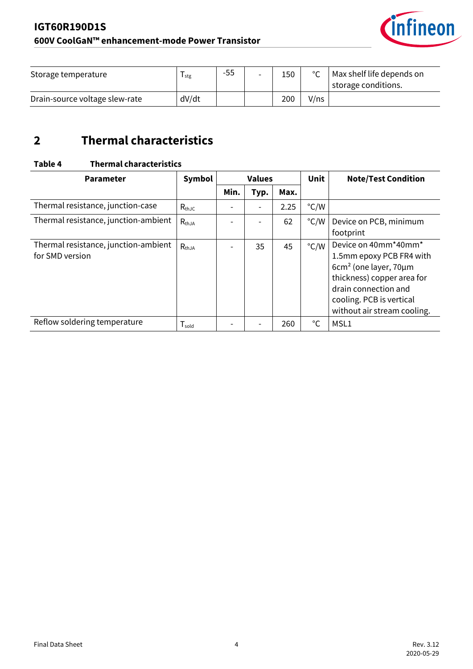

| Storage temperature            | I stg | -55 | $\overline{\phantom{0}}$ | 150 | $\sim$ | Max shelf life depends on<br>I storage conditions. |
|--------------------------------|-------|-----|--------------------------|-----|--------|----------------------------------------------------|
| Drain-source voltage slew-rate | dV/dt |     |                          | 200 | V/ns   |                                                    |

## <span id="page-3-0"></span>**2 Thermal characteristics**

#### **Table 4 Thermal characteristics**

| <b>Parameter</b>                                        | Symbol            | <b>Values</b> |                          | <b>Unit</b> | <b>Note/Test Condition</b> |                                                                                                                                                                                                    |
|---------------------------------------------------------|-------------------|---------------|--------------------------|-------------|----------------------------|----------------------------------------------------------------------------------------------------------------------------------------------------------------------------------------------------|
|                                                         |                   | Min.          | Typ.                     | Max.        |                            |                                                                                                                                                                                                    |
| Thermal resistance, junction-case                       | $R_{thJC}$        |               | $\overline{\phantom{a}}$ | 2.25        | $\degree$ C/W              |                                                                                                                                                                                                    |
| Thermal resistance, junction-ambient                    | $R_{thJA}$        |               |                          | 62          | $\degree$ C/W              | Device on PCB, minimum<br>footprint                                                                                                                                                                |
| Thermal resistance, junction-ambient<br>for SMD version | $R_{thJA}$        |               | 35                       | 45          | $\degree$ C/W              | Device on 40mm*40mm*<br>1.5mm epoxy PCB FR4 with<br>$6cm2$ (one layer, $70 \mu m$<br>thickness) copper area for<br>drain connection and<br>cooling. PCB is vertical<br>without air stream cooling. |
| Reflow soldering temperature                            | $T_{\text{gold}}$ |               |                          | 260         | $^{\circ}$ C               | MSL1                                                                                                                                                                                               |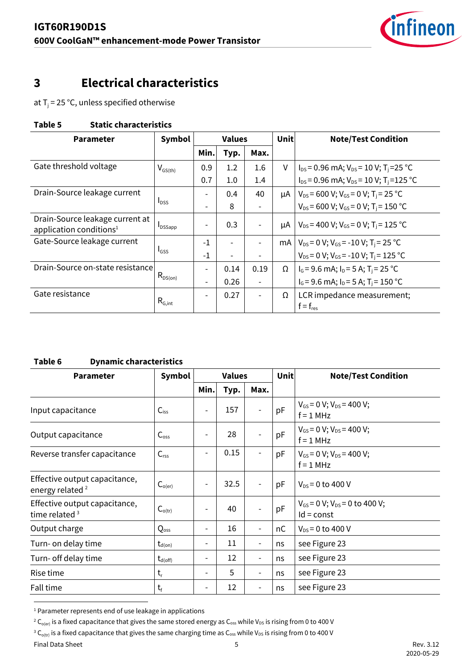

### <span id="page-4-0"></span>**3 Electrical characteristics**

at T<sub>j</sub> = 25 °C, unless specified otherwise

#### **Table 5 Static characteristics**

| <b>Parameter</b>                                                       | <b>Values</b><br>Symbol |                          | Unit                     | <b>Note/Test Condition</b> |    |                                                                  |
|------------------------------------------------------------------------|-------------------------|--------------------------|--------------------------|----------------------------|----|------------------------------------------------------------------|
|                                                                        |                         | Min.                     | Typ.                     | Max.                       |    |                                                                  |
| Gate threshold voltage                                                 | $V_{GS(th)}$            | 0.9                      | 1.2                      | 1.6                        | V  | $I_{DS}$ = 0.96 mA; $V_{DS}$ = 10 V; T <sub>i</sub> = 25 °C      |
|                                                                        |                         | 0.7                      | 1.0                      | 1.4                        |    | $I_{DS}$ = 0.96 mA; $V_{DS}$ = 10 V; T <sub>i</sub> =125 °C      |
| Drain-Source leakage current                                           |                         | $\overline{\phantom{0}}$ | 0.4                      | 40                         | μA | $V_{DS}$ = 600 V; V <sub>GS</sub> = 0 V; T <sub>i</sub> = 25 °C  |
|                                                                        | $I_{DSS}$               | $\overline{\phantom{0}}$ | 8                        |                            |    | $V_{DS}$ = 600 V; V <sub>GS</sub> = 0 V; T <sub>i</sub> = 150 °C |
| Drain-Source leakage current at<br>application conditions <sup>1</sup> | <b>I</b> DSSapp         | -                        | 0.3                      |                            | μA | $V_{DS}$ = 400 V; V <sub>GS</sub> = 0 V; T <sub>i</sub> = 125 °C |
| Gate-Source leakage current                                            |                         | $-1$                     |                          |                            | mA | $V_{DS}$ = 0 V; V <sub>GS</sub> = -10 V; T <sub>i</sub> = 25 °C  |
|                                                                        | $I_{GSS}$               | $-1$                     | $\overline{\phantom{0}}$ |                            |    | $V_{DS}$ = 0 V; V <sub>GS</sub> = -10 V; T <sub>i</sub> = 125 °C |
| Drain-Source on-state resistance                                       |                         | -                        | 0.14                     | 0.19                       | Ω  | $I_G$ = 9.6 mA; $I_D$ = 5 A; T <sub>i</sub> = 25 °C              |
|                                                                        | $R_{DS(on)}$            | $\overline{\phantom{0}}$ | 0.26                     |                            |    | $I_G$ = 9.6 mA; $I_D$ = 5 A; T <sub>i</sub> = 150 °C             |
| Gate resistance                                                        | $R_{G,int}$             | $\overline{\phantom{0}}$ | 0.27                     |                            | Ω  | LCR impedance measurement;<br>$f = f_{res}$                      |

#### **Table 6 Dynamic characteristics**

| <b>Parameter</b>                                             | <b>Symbol</b>                |                          | <b>Values</b> |                          | <b>Unit</b> | <b>Note/Test Condition</b>                             |  |
|--------------------------------------------------------------|------------------------------|--------------------------|---------------|--------------------------|-------------|--------------------------------------------------------|--|
|                                                              |                              | Min.                     | Typ.          | Max.                     |             |                                                        |  |
| Input capacitance                                            | $C_{iss}$                    | $\overline{a}$           | 157           |                          | pF          | $V_{GS}$ = 0 V; $V_{DS}$ = 400 V;<br>$f = 1$ MHz       |  |
| Output capacitance                                           | $C_{\text{oss}}$             |                          | 28            |                          | pF          | $V_{GS}$ = 0 V; $V_{DS}$ = 400 V;<br>$f = 1$ MHz       |  |
| Reverse transfer capacitance                                 | C <sub>rss</sub>             |                          | 0.15          |                          | pF          | $V_{GS}$ = 0 V; $V_{DS}$ = 400 V;<br>$f = 1$ MHz       |  |
| Effective output capacitance,<br>energy related <sup>2</sup> | $C_{o(er)}$                  |                          | 32.5          |                          | pF          | $V_{DS} = 0$ to 400 V                                  |  |
| Effective output capacitance,<br>time related $3$            | $C_{o(tr)}$                  | $\overline{\phantom{0}}$ | 40            |                          | pF          | $V_{GS}$ = 0 V; $V_{DS}$ = 0 to 400 V;<br>$Id = const$ |  |
| Output charge                                                | Qoss                         | $\overline{\phantom{a}}$ | 16            | $\overline{\phantom{a}}$ | nC          | $V_{DS} = 0$ to 400 V                                  |  |
| Turn- on delay time                                          | $t_{d(on)}$                  | $\overline{\phantom{0}}$ | 11            |                          | ns          | see Figure 23                                          |  |
| Turn- off delay time                                         | $\mathsf{t}_{\text{d(off)}}$ | $\overline{\phantom{a}}$ | 12            |                          | ns          | see Figure 23                                          |  |
| Rise time                                                    | $t_{\rm r}$                  | $\overline{\phantom{a}}$ | 5             | $\overline{\phantom{a}}$ | ns          | see Figure 23                                          |  |
| Fall time                                                    | $t_{\rm f}$                  | -                        | 12            |                          | ns          | see Figure 23                                          |  |

<span id="page-4-2"></span><span id="page-4-1"></span><sup>&</sup>lt;sup>1</sup> Parameter represents end of use leakage in applications

Final Data Sheet **Rev. 3.12** Rev. 3.12

<span id="page-4-3"></span><sup>&</sup>lt;sup>2</sup> C<sub>o(er)</sub> is a fixed capacitance that gives the same stored energy as C<sub>oss</sub> while V<sub>DS</sub> is rising from 0 to 400 V

 $^3$  C<sub>o(tr)</sub> is a fixed capacitance that gives the same charging time as C<sub>oss</sub> while V<sub>DS</sub> is rising from 0 to 400 V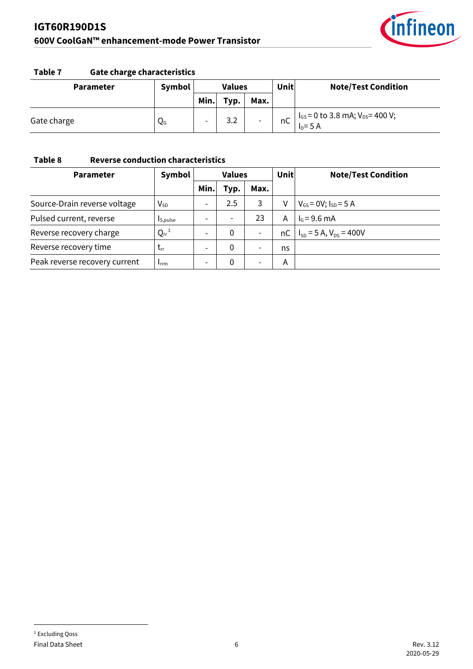

#### **Table 7 Gate charge characteristics**

| <b>Parameter</b> | <b>Symbol</b> | <b>Values</b> |      |                          | Unit | <b>Note/Test Condition</b>                           |
|------------------|---------------|---------------|------|--------------------------|------|------------------------------------------------------|
|                  |               | Min.          | Typ. | Max.                     |      |                                                      |
| Gate charge      | QG            | -             | 3.2  | $\overline{\phantom{0}}$ | пC   | $I_{GS}$ = 0 to 3.8 mA; $V_{DS}$ = 400 V;<br>$ID=5A$ |

#### **Table 8 Reverse conduction characteristics**

<span id="page-5-0"></span>

| <b>Parameter</b>              | Symbol                | <b>Values</b>            |          |                          | <b>Unit</b> | <b>Note/Test Condition</b>      |
|-------------------------------|-----------------------|--------------------------|----------|--------------------------|-------------|---------------------------------|
|                               |                       | Min.                     | Typ.     | Max.                     |             |                                 |
| Source-Drain reverse voltage  | $V_{SD}$              | $\overline{\phantom{0}}$ | 2.5      | 3                        | v           | $V_{GS} = 0V$ ; $I_{SD} = 5 A$  |
| Pulsed current, reverse       | I <sub>S,pulse</sub>  |                          |          | 23                       | Α           | $I_G = 9.6$ mA                  |
| Reverse recovery charge       | $Q_{rr}$ <sup>1</sup> |                          | 0        |                          | пC          | $I_{SD}$ = 5 A, $V_{DS}$ = 400V |
| Reverse recovery time         | $t_{rr}$              | $\overline{\phantom{0}}$ | 0        | $\overline{\phantom{0}}$ | ns          |                                 |
| Peak reverse recovery current | $I_{rrm}$             |                          | $\Omega$ | $\overline{\phantom{0}}$ | Α           |                                 |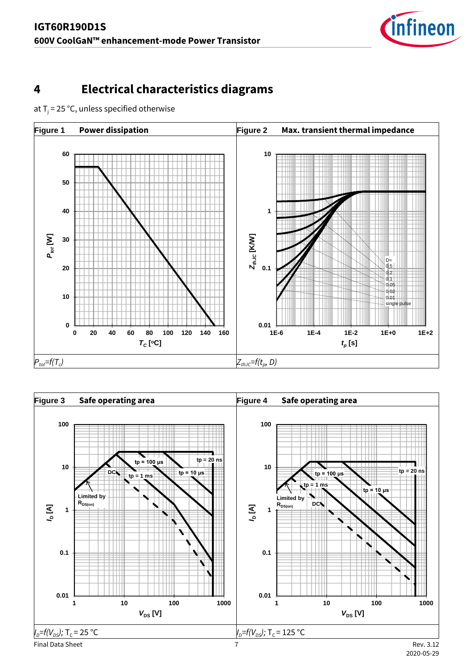

## <span id="page-6-0"></span>**4 Electrical characteristics diagrams**

at T<sub>j</sub> = 25 °C, unless specified otherwise



<span id="page-6-2"></span><span id="page-6-1"></span>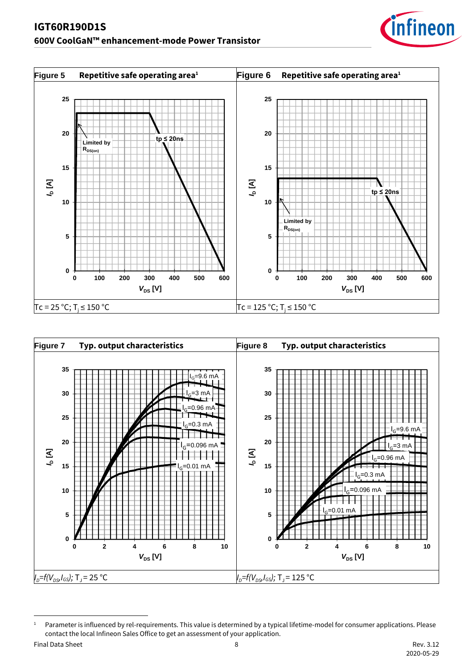<span id="page-7-1"></span><span id="page-7-0"></span>



<span id="page-7-2"></span><sup>1</sup> Parameter is influenced by rel-requirements. This value is determined by a typical lifetime-model for consumer applications. Please contact the local Infineon Sales Office to get an assessment of your application.

Final Data Sheet **8** Rev. 3.12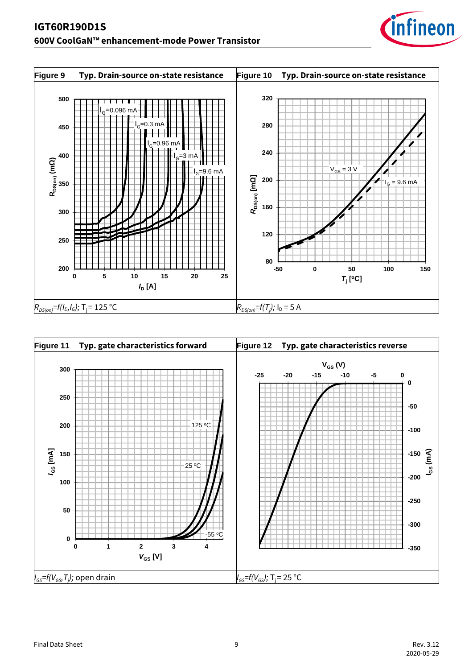



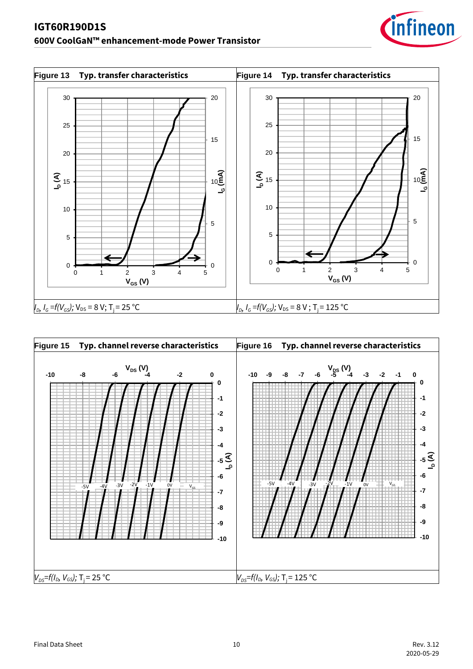### **IGT60R190D1S 600V CoolGaN™ enhancement-mode Power Transistor**



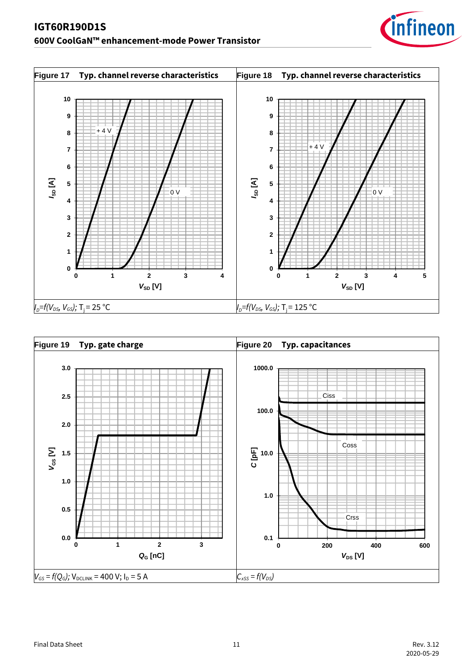

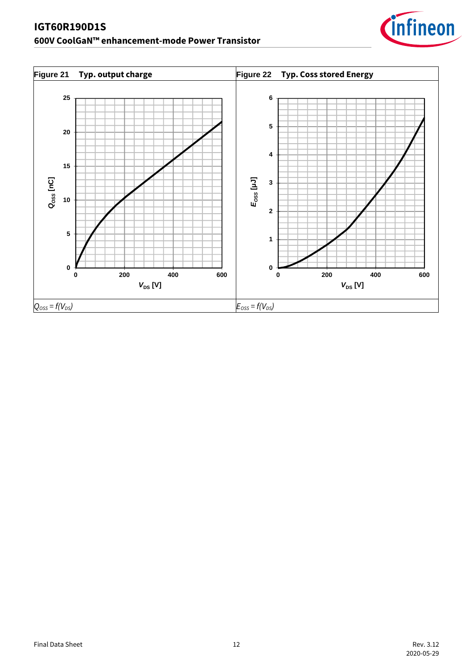

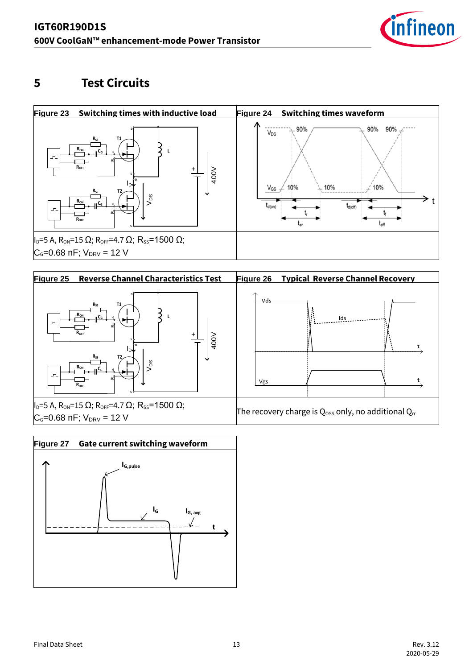

### <span id="page-12-1"></span><span id="page-12-0"></span>**5 Test Circuits**





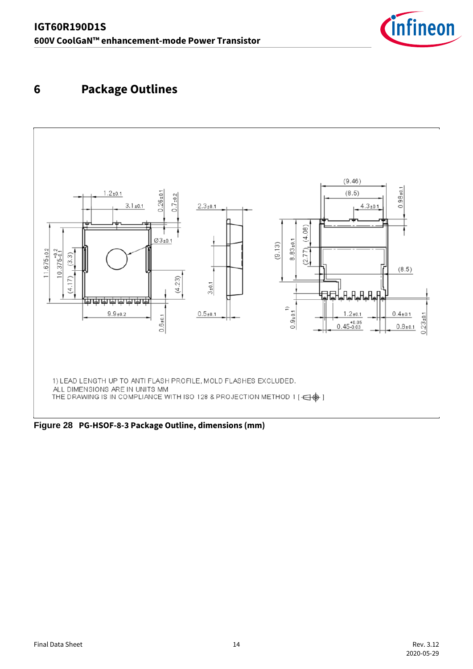

## <span id="page-13-0"></span>**6 Package Outlines**



**Figure 28 PG-HSOF-8-3 Package Outline, dimensions (mm)**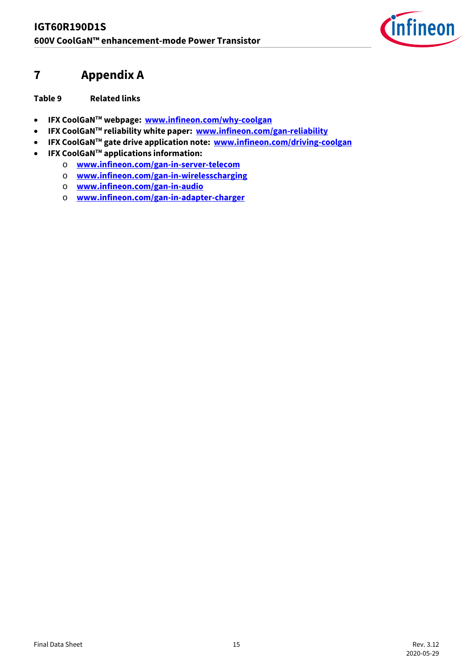

### <span id="page-14-0"></span>**7 Appendix A**

**Table 9 Related links** 

- **IFX CoolGaNTM webpage: [www.infineon.com/why-coolgan](http://www.infineon.com/why-coolgan)**
- **IFX CoolGaNTM reliability white paper: [www.infineon.com/gan-reliability](http://www.infineon.com/gan-reliability)**
- **IFX CoolGaNTM gate drive application note: [www.infineon.com/driving-coolgan](http://www.infineon.com/driving-coolgan)**
- **IFX CoolGaNTM applications information:**
	- o **[www.infineon.com/gan-in-server-telecom](http://www.infineon.com/gan-in-server-telecom)**
	- o **[www.infineon.com/gan-in-wirelesscharging](http://www.infineon.com/gan-in-wirelesscharging)**
	- o **[www.infineon.com/gan-in-audio](http://www.infineon.com/gan-in-audio)**
	- o **[www.infineon.com/gan-in-adapter-charger](http://www.infineon.com/gan-in-adapter-charger)**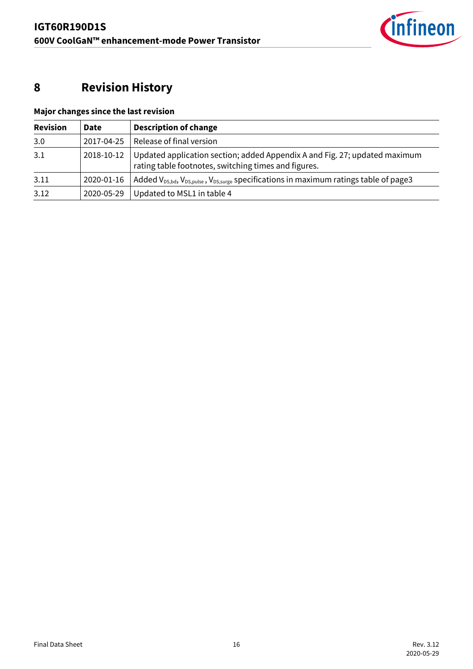

## <span id="page-15-0"></span>**8 Revision History**

| <b>Revision</b> | Date       | <b>Description of change</b>                                                                                                       |
|-----------------|------------|------------------------------------------------------------------------------------------------------------------------------------|
| 3.0             | 2017-04-25 | Release of final version                                                                                                           |
| 3.1             | 2018-10-12 | Updated application section; added Appendix A and Fig. 27; updated maximum<br>rating table footnotes, switching times and figures. |
| 3.11            | 2020-01-16 | Added $V_{DS, bd}$ , $V_{DS, pulse}$ , $V_{DS, surge}$ specifications in maximum ratings table of page3                            |
| 3.12            | 2020-05-29 | Updated to MSL1 in table 4                                                                                                         |

### **Major changes since the last revision**